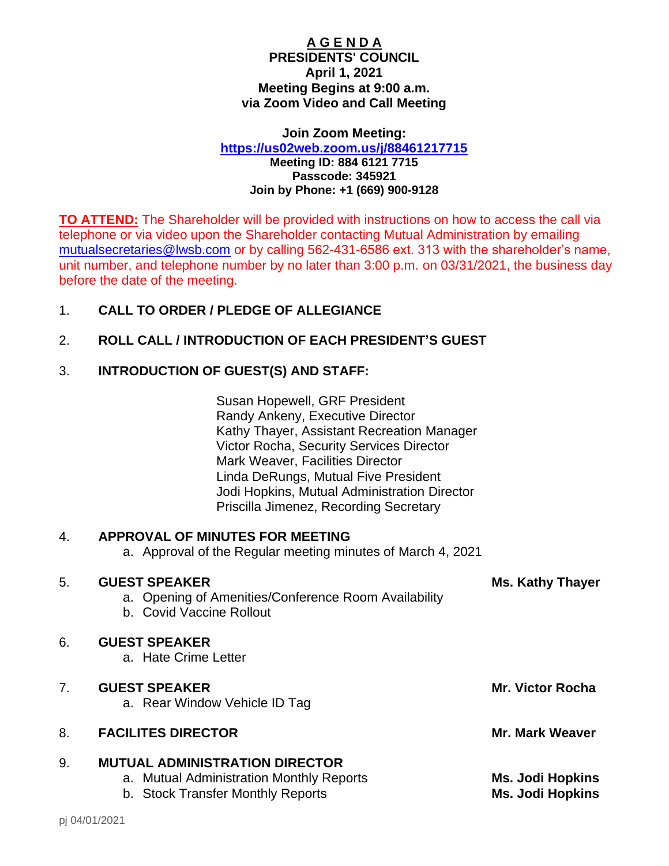#### **A G E N D A PRESIDENTS' COUNCIL April 1, 2021 Meeting Begins at 9:00 a.m. via Zoom Video and Call Meeting**

**Join Zoom Meeting: <https://us02web.zoom.us/j/88461217715>**

**Meeting ID: 884 6121 7715 Passcode: 345921 Join by Phone: +1 (669) 900-9128**

**TO ATTEND:** The Shareholder will be provided with instructions on how to access the call via telephone or via video upon the Shareholder contacting Mutual Administration by emailing [mutualsecretaries@lwsb.com](mailto:mutualsecretaries@lwsb.com) or by calling 562-431-6586 ext. 313 with the shareholder's name, unit number, and telephone number by no later than 3:00 p.m. on 03/31/2021, the business day before the date of the meeting.

# 1. **CALL TO ORDER / PLEDGE OF ALLEGIANCE**

# 2. **ROLL CALL / INTRODUCTION OF EACH PRESIDENT'S GUEST**

### 3. **INTRODUCTION OF GUEST(S) AND STAFF:**

Susan Hopewell, GRF President Randy Ankeny, Executive Director Kathy Thayer, Assistant Recreation Manager Victor Rocha, Security Services Director Mark Weaver, Facilities Director Linda DeRungs, Mutual Five President Jodi Hopkins, Mutual Administration Director Priscilla Jimenez, Recording Secretary

## 4. **APPROVAL OF MINUTES FOR MEETING**

a. Approval of the Regular meeting minutes of March 4, 2021

#### 5. **GUEST SPEAKER Ms. Kathy Thayer**

#### a. Opening of Amenities/Conference Room Availability

b. Covid Vaccine Rollout

#### 6. **GUEST SPEAKER**

a. Hate Crime Letter

|    | <b>GUEST SPEAKER</b><br>a. Rear Window Vehicle ID Tag | <b>Mr. Victor Rocha</b> |
|----|-------------------------------------------------------|-------------------------|
| 8. | <b>FACILITES DIRECTOR</b>                             | <b>Mr. Mark Weaver</b>  |

#### 9. **MUTUAL ADMINISTRATION DIRECTOR**

- a. Mutual Administration Monthly Reports **Ms. Jodi Hopkins**
- b. Stock Transfer Monthly Reports **Ms. Jodi Hopkins**